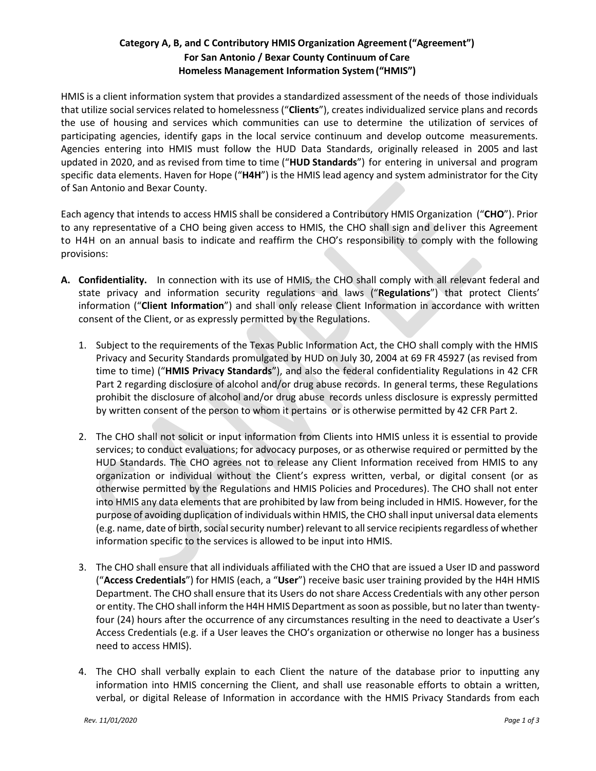# **Category A, B, and C Contributory HMIS Organization Agreement("Agreement") For San Antonio / Bexar County Continuum of Care Homeless Management Information System("HMIS")**

HMIS is a client information system that provides a standardized assessment of the needs of those individuals that utilize social services related to homelessness ("**Clients**"), creates individualized service plans and records the use of housing and services which communities can use to determine the utilization of services of participating agencies, identify gaps in the local service continuum and develop outcome measurements. Agencies entering into HMIS must follow the HUD Data Standards, originally released in 2005 and last updated in 2020, and as revised from time to time ("**HUD Standards**") for entering in universal and program specific data elements. Haven for Hope ("**H4H**") is the HMIS lead agency and system administrator for the City of San Antonio and Bexar County.

Each agency that intends to access HMIS shall be considered a Contributory HMIS Organization ("**CHO**"). Prior to any representative of a CHO being given access to HMIS, the CHO shall sign and deliver this Agreement to H4H on an annual basis to indicate and reaffirm the CHO's responsibility to comply with the following provisions:

- **A. Confidentiality.** In connection with its use of HMIS, the CHO shall comply with all relevant federal and state privacy and information security regulations and laws ("**Regulations**") that protect Clients' information ("**Client Information**") and shall only release Client Information in accordance with written consent of the Client, or as expressly permitted by the Regulations.
	- 1. Subject to the requirements of the Texas Public Information Act, the CHO shall comply with the HMIS Privacy and Security Standards promulgated by HUD on July 30, 2004 at 69 FR 45927 (as revised from time to time) ("**HMIS Privacy Standards**"), and also the federal confidentiality Regulations in 42 CFR Part 2 regarding disclosure of alcohol and/or drug abuse records. In general terms, these Regulations prohibit the disclosure of alcohol and/or drug abuse records unless disclosure is expressly permitted by written consent of the person to whom it pertains or is otherwise permitted by 42 CFR Part 2.
	- 2. The CHO shall not solicit or input information from Clients into HMIS unless it is essential to provide services; to conduct evaluations; for advocacy purposes, or as otherwise required or permitted by the HUD Standards. The CHO agrees not to release any Client Information received from HMIS to any organization or individual without the Client's express written, verbal, or digital consent (or as otherwise permitted by the Regulations and HMIS Policies and Procedures). The CHO shall not enter into HMIS any data elements that are prohibited by law from being included in HMIS. However, for the purpose of avoiding duplication of individuals within HMIS, the CHO shall input universal data elements (e.g. name, date of birth, social security number) relevant to all service recipients regardless of whether information specific to the services is allowed to be input into HMIS.
	- 3. The CHO shall ensure that all individuals affiliated with the CHO that are issued a User ID and password ("**Access Credentials**") for HMIS (each, a "**User**") receive basic user training provided by the H4H HMIS Department. The CHO shall ensure that its Users do not share Access Credentials with any other person or entity. The CHO shall inform the H4H HMIS Department as soon as possible, but no later than twentyfour (24) hours after the occurrence of any circumstances resulting in the need to deactivate a User's Access Credentials (e.g. if a User leaves the CHO's organization or otherwise no longer has a business need to access HMIS).
	- 4. The CHO shall verbally explain to each Client the nature of the database prior to inputting any information into HMIS concerning the Client, and shall use reasonable efforts to obtain a written, verbal, or digital Release of Information in accordance with the HMIS Privacy Standards from each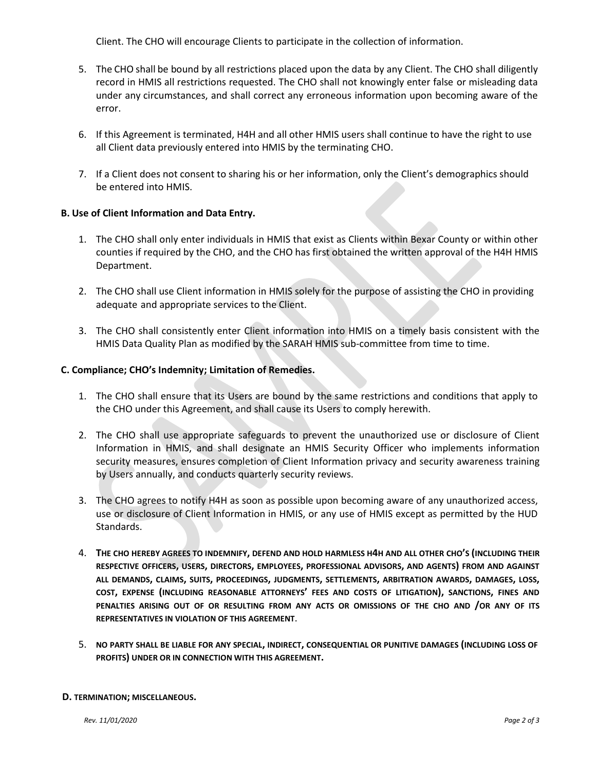Client. The CHO will encourage Clients to participate in the collection of information.

- 5. The CHO shall be bound by all restrictions placed upon the data by any Client. The CHO shall diligently record in HMIS all restrictions requested. The CHO shall not knowingly enter false or misleading data under any circumstances, and shall correct any erroneous information upon becoming aware of the error.
- 6. If this Agreement is terminated, H4H and all other HMIS users shall continue to have the right to use all Client data previously entered into HMIS by the terminating CHO.
- 7. If a Client does not consent to sharing his or her information, only the Client's demographics should be entered into HMIS.

# **B. Use of Client Information and Data Entry.**

- 1. The CHO shall only enter individuals in HMIS that exist as Clients within Bexar County or within other counties if required by the CHO, and the CHO has first obtained the written approval of the H4H HMIS Department.
- 2. The CHO shall use Client information in HMIS solely for the purpose of assisting the CHO in providing adequate and appropriate services to the Client.
- 3. The CHO shall consistently enter Client information into HMIS on a timely basis consistent with the HMIS Data Quality Plan as modified by the SARAH HMIS sub-committee from time to time.

# **C. Compliance; CHO's Indemnity; Limitation of Remedies.**

- 1. The CHO shall ensure that its Users are bound by the same restrictions and conditions that apply to the CHO under this Agreement, and shall cause its Users to comply herewith.
- 2. The CHO shall use appropriate safeguards to prevent the unauthorized use or disclosure of Client Information in HMIS, and shall designate an HMIS Security Officer who implements information security measures, ensures completion of Client Information privacy and security awareness training by Users annually, and conducts quarterly security reviews.
- 3. The CHO agrees to notify H4H as soon as possible upon becoming aware of any unauthorized access, use or disclosure of Client Information in HMIS, or any use of HMIS except as permitted by the HUD Standards.
- 4. **THE CHO HEREBY AGREES TO INDEMNIFY, DEFEND AND HOLD HARMLESS H4H AND ALL OTHER CHO'S (INCLUDING THEIR RESPECTIVE OFFICERS, USERS, DIRECTORS, EMPLOYEES, PROFESSIONAL ADVISORS, AND AGENTS) FROM AND AGAINST**  ALL DEMANDS, CLAIMS, SUITS, PROCEEDINGS, JUDGMENTS, SETTLEMENTS, ARBITRATION AWARDS, DAMAGES, LOSS, **COST, EXPENSE (INCLUDING REASONABLE ATTORNEYS' FEES AND COSTS OF LITIGATION), SANCTIONS, FINES AND PENALTIES ARISING OUT OF OR RESULTING FROM ANY ACTS OR OMISSIONS OF THE CHO AND /OR ANY OF ITS REPRESENTATIVES IN VIOLATION OF THIS AGREEMENT**.
- 5. **NO PARTY SHALL BE LIABLE FOR ANY SPECIAL, INDIRECT, CONSEQUENTIAL OR PUNITIVE DAMAGES (INCLUDING LOSS OF PROFITS) UNDER OR IN CONNECTION WITH THIS AGREEMENT.**

### **D. TERMINATION; MISCELLANEOUS.**